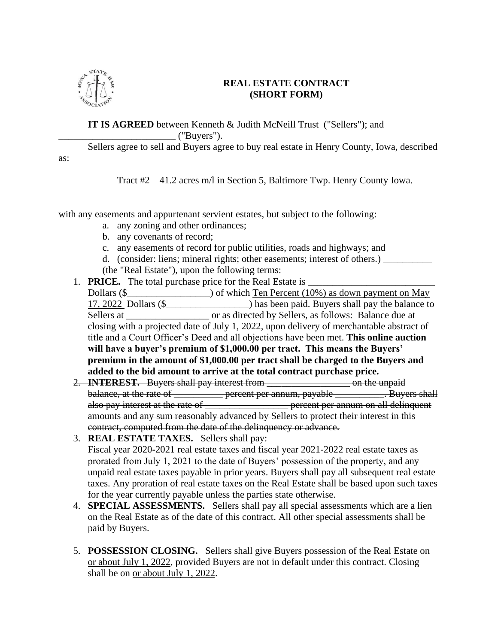

#### **REAL ESTATE CONTRACT (SHORT FORM)**

**IT IS AGREED** between Kenneth & Judith McNeill Trust ("Sellers"); and  $\angle$  ("Buyers").

Sellers agree to sell and Buyers agree to buy real estate in Henry County, Iowa, described

Tract #2 – 41.2 acres m/l in Section 5, Baltimore Twp. Henry County Iowa.

with any easements and appurtenant servient estates, but subject to the following:

- a. any zoning and other ordinances;
- b. any covenants of record;
- c. any easements of record for public utilities, roads and highways; and
- d. (consider: liens; mineral rights; other easements; interest of others.) (the "Real Estate"), upon the following terms:
- 1. **PRICE.** The total purchase price for the Real Estate is \_

Dollars  $(\S$  \_\_\_\_\_\_\_\_\_\_\_\_\_\_\_) of which Ten Percent (10%) as down payment on May 17, 2022 Dollars (\$\_\_\_\_\_\_\_\_\_\_\_\_\_\_\_\_\_) has been paid. Buyers shall pay the balance to Sellers at  $\Box$  or as directed by Sellers, as follows: Balance due at closing with a projected date of July 1, 2022, upon delivery of merchantable abstract of title and a Court Officer's Deed and all objections have been met. **This online auction will have a buyer's premium of \$1,000.00 per tract. This means the Buyers' premium in the amount of \$1,000.00 per tract shall be charged to the Buyers and added to the bid amount to arrive at the total contract purchase price.**

- 2. **INTEREST.** Buyers shall pay interest from \_\_\_\_\_\_\_\_\_\_\_\_\_\_\_\_\_\_\_\_\_ on the unpaid balance, at the rate of <u>equal percent per annum, payable equal</u>. Buyers shall also pay interest at the rate of <u>the restance of</u> the percent per annum on all delinquent amounts and any sum reasonably advanced by Sellers to protect their interest in this contract, computed from the date of the delinquency or advance.
- 3. **REAL ESTATE TAXES.** Sellers shall pay: Fiscal year 2020**-**2021 real estate taxes and fiscal year 2021-2022 real estate taxes as prorated from July 1, 2021 to the date of Buyers' possession of the property, and any unpaid real estate taxes payable in prior years. Buyers shall pay all subsequent real estate taxes. Any proration of real estate taxes on the Real Estate shall be based upon such taxes for the year currently payable unless the parties state otherwise.
- 4. **SPECIAL ASSESSMENTS.** Sellers shall pay all special assessments which are a lien on the Real Estate as of the date of this contract. All other special assessments shall be paid by Buyers.
- 5. **POSSESSION CLOSING.** Sellers shall give Buyers possession of the Real Estate on or about July 1, 2022, provided Buyers are not in default under this contract. Closing shall be on or about July 1, 2022.

as: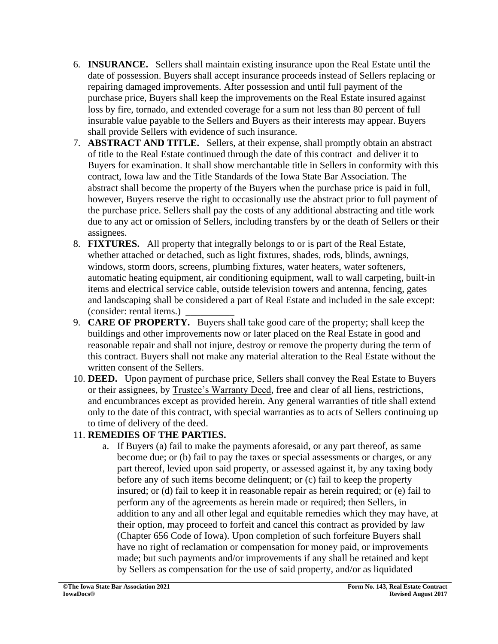- 6. **INSURANCE.** Sellers shall maintain existing insurance upon the Real Estate until the date of possession. Buyers shall accept insurance proceeds instead of Sellers replacing or repairing damaged improvements. After possession and until full payment of the purchase price, Buyers shall keep the improvements on the Real Estate insured against loss by fire, tornado, and extended coverage for a sum not less than 80 percent of full insurable value payable to the Sellers and Buyers as their interests may appear. Buyers shall provide Sellers with evidence of such insurance.
- 7. **ABSTRACT AND TITLE.** Sellers, at their expense, shall promptly obtain an abstract of title to the Real Estate continued through the date of this contract and deliver it to Buyers for examination. It shall show merchantable title in Sellers in conformity with this contract, Iowa law and the Title Standards of the Iowa State Bar Association. The abstract shall become the property of the Buyers when the purchase price is paid in full, however, Buyers reserve the right to occasionally use the abstract prior to full payment of the purchase price. Sellers shall pay the costs of any additional abstracting and title work due to any act or omission of Sellers, including transfers by or the death of Sellers or their assignees.
- 8. **FIXTURES.** All property that integrally belongs to or is part of the Real Estate, whether attached or detached, such as light fixtures, shades, rods, blinds, awnings, windows, storm doors, screens, plumbing fixtures, water heaters, water softeners, automatic heating equipment, air conditioning equipment, wall to wall carpeting, built-in items and electrical service cable, outside television towers and antenna, fencing, gates and landscaping shall be considered a part of Real Estate and included in the sale except: (consider: rental items.)
- 9. **CARE OF PROPERTY.** Buyers shall take good care of the property; shall keep the buildings and other improvements now or later placed on the Real Estate in good and reasonable repair and shall not injure, destroy or remove the property during the term of this contract. Buyers shall not make any material alteration to the Real Estate without the written consent of the Sellers.
- 10. **DEED.** Upon payment of purchase price, Sellers shall convey the Real Estate to Buyers or their assignees, by Trustee's Warranty Deed, free and clear of all liens, restrictions, and encumbrances except as provided herein. Any general warranties of title shall extend only to the date of this contract, with special warranties as to acts of Sellers continuing up to time of delivery of the deed.

# 11. **REMEDIES OF THE PARTIES.**

a. If Buyers (a) fail to make the payments aforesaid, or any part thereof, as same become due; or (b) fail to pay the taxes or special assessments or charges, or any part thereof, levied upon said property, or assessed against it, by any taxing body before any of such items become delinquent; or (c) fail to keep the property insured; or (d) fail to keep it in reasonable repair as herein required; or (e) fail to perform any of the agreements as herein made or required; then Sellers, in addition to any and all other legal and equitable remedies which they may have, at their option, may proceed to forfeit and cancel this contract as provided by law (Chapter 656 Code of Iowa). Upon completion of such forfeiture Buyers shall have no right of reclamation or compensation for money paid, or improvements made; but such payments and/or improvements if any shall be retained and kept by Sellers as compensation for the use of said property, and/or as liquidated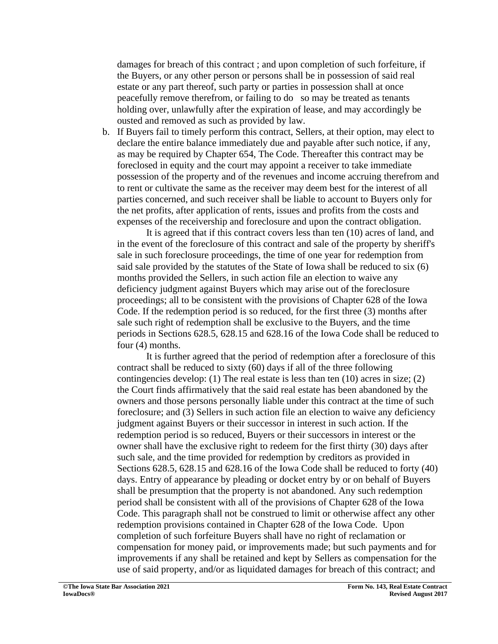damages for breach of this contract ; and upon completion of such forfeiture, if the Buyers, or any other person or persons shall be in possession of said real estate or any part thereof, such party or parties in possession shall at once peacefully remove therefrom, or failing to do so may be treated as tenants holding over, unlawfully after the expiration of lease, and may accordingly be ousted and removed as such as provided by law.

b. If Buyers fail to timely perform this contract, Sellers, at their option, may elect to declare the entire balance immediately due and payable after such notice, if any, as may be required by Chapter 654, The Code. Thereafter this contract may be foreclosed in equity and the court may appoint a receiver to take immediate possession of the property and of the revenues and income accruing therefrom and to rent or cultivate the same as the receiver may deem best for the interest of all parties concerned, and such receiver shall be liable to account to Buyers only for the net profits, after application of rents, issues and profits from the costs and expenses of the receivership and foreclosure and upon the contract obligation.

It is agreed that if this contract covers less than ten (10) acres of land, and in the event of the foreclosure of this contract and sale of the property by sheriff's sale in such foreclosure proceedings, the time of one year for redemption from said sale provided by the statutes of the State of Iowa shall be reduced to six (6) months provided the Sellers, in such action file an election to waive any deficiency judgment against Buyers which may arise out of the foreclosure proceedings; all to be consistent with the provisions of Chapter 628 of the Iowa Code. If the redemption period is so reduced, for the first three (3) months after sale such right of redemption shall be exclusive to the Buyers, and the time periods in Sections 628.5, 628.15 and 628.16 of the Iowa Code shall be reduced to four (4) months.

It is further agreed that the period of redemption after a foreclosure of this contract shall be reduced to sixty (60) days if all of the three following contingencies develop: (1) The real estate is less than ten (10) acres in size; (2) the Court finds affirmatively that the said real estate has been abandoned by the owners and those persons personally liable under this contract at the time of such foreclosure; and (3) Sellers in such action file an election to waive any deficiency judgment against Buyers or their successor in interest in such action. If the redemption period is so reduced, Buyers or their successors in interest or the owner shall have the exclusive right to redeem for the first thirty (30) days after such sale, and the time provided for redemption by creditors as provided in Sections 628.5, 628.15 and 628.16 of the Iowa Code shall be reduced to forty (40) days. Entry of appearance by pleading or docket entry by or on behalf of Buyers shall be presumption that the property is not abandoned. Any such redemption period shall be consistent with all of the provisions of Chapter 628 of the Iowa Code. This paragraph shall not be construed to limit or otherwise affect any other redemption provisions contained in Chapter 628 of the Iowa Code. Upon completion of such forfeiture Buyers shall have no right of reclamation or compensation for money paid, or improvements made; but such payments and for improvements if any shall be retained and kept by Sellers as compensation for the use of said property, and/or as liquidated damages for breach of this contract; and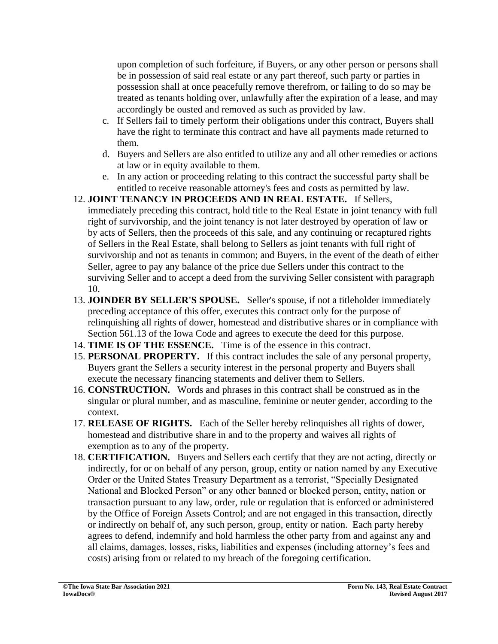upon completion of such forfeiture, if Buyers, or any other person or persons shall be in possession of said real estate or any part thereof, such party or parties in possession shall at once peacefully remove therefrom, or failing to do so may be treated as tenants holding over, unlawfully after the expiration of a lease, and may accordingly be ousted and removed as such as provided by law.

- c. If Sellers fail to timely perform their obligations under this contract, Buyers shall have the right to terminate this contract and have all payments made returned to them.
- d. Buyers and Sellers are also entitled to utilize any and all other remedies or actions at law or in equity available to them.
- e. In any action or proceeding relating to this contract the successful party shall be entitled to receive reasonable attorney's fees and costs as permitted by law.
- 12. **JOINT TENANCY IN PROCEEDS AND IN REAL ESTATE.** If Sellers, immediately preceding this contract, hold title to the Real Estate in joint tenancy with full right of survivorship, and the joint tenancy is not later destroyed by operation of law or by acts of Sellers, then the proceeds of this sale, and any continuing or recaptured rights of Sellers in the Real Estate, shall belong to Sellers as joint tenants with full right of survivorship and not as tenants in common; and Buyers, in the event of the death of either Seller, agree to pay any balance of the price due Sellers under this contract to the surviving Seller and to accept a deed from the surviving Seller consistent with paragraph 10.
- 13. **JOINDER BY SELLER'S SPOUSE.** Seller's spouse, if not a titleholder immediately preceding acceptance of this offer, executes this contract only for the purpose of relinquishing all rights of dower, homestead and distributive shares or in compliance with Section 561.13 of the Iowa Code and agrees to execute the deed for this purpose.
- 14. **TIME IS OF THE ESSENCE.** Time is of the essence in this contract.
- 15. **PERSONAL PROPERTY.** If this contract includes the sale of any personal property, Buyers grant the Sellers a security interest in the personal property and Buyers shall execute the necessary financing statements and deliver them to Sellers.
- 16. **CONSTRUCTION.** Words and phrases in this contract shall be construed as in the singular or plural number, and as masculine, feminine or neuter gender, according to the context.
- 17. **RELEASE OF RIGHTS.** Each of the Seller hereby relinquishes all rights of dower, homestead and distributive share in and to the property and waives all rights of exemption as to any of the property.
- 18. **CERTIFICATION.** Buyers and Sellers each certify that they are not acting, directly or indirectly, for or on behalf of any person, group, entity or nation named by any Executive Order or the United States Treasury Department as a terrorist, "Specially Designated National and Blocked Person" or any other banned or blocked person, entity, nation or transaction pursuant to any law, order, rule or regulation that is enforced or administered by the Office of Foreign Assets Control; and are not engaged in this transaction, directly or indirectly on behalf of, any such person, group, entity or nation. Each party hereby agrees to defend, indemnify and hold harmless the other party from and against any and all claims, damages, losses, risks, liabilities and expenses (including attorney's fees and costs) arising from or related to my breach of the foregoing certification.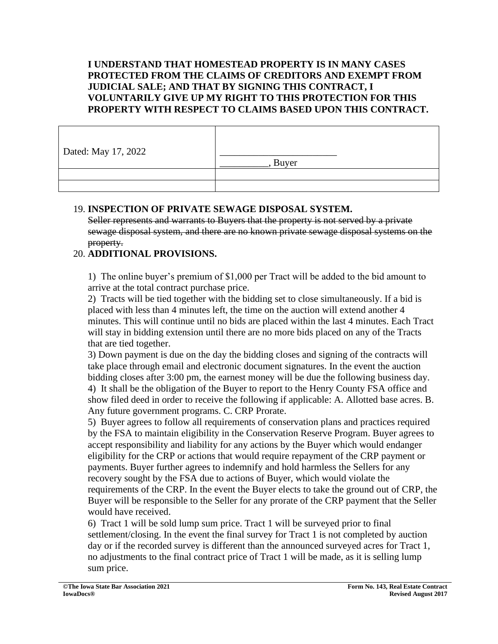### **I UNDERSTAND THAT HOMESTEAD PROPERTY IS IN MANY CASES PROTECTED FROM THE CLAIMS OF CREDITORS AND EXEMPT FROM JUDICIAL SALE; AND THAT BY SIGNING THIS CONTRACT, I VOLUNTARILY GIVE UP MY RIGHT TO THIS PROTECTION FOR THIS PROPERTY WITH RESPECT TO CLAIMS BASED UPON THIS CONTRACT.**

| Dated: May 17, 2022 | Buyer |
|---------------------|-------|
|                     |       |
|                     |       |

# 19. **INSPECTION OF PRIVATE SEWAGE DISPOSAL SYSTEM.**

Seller represents and warrants to Buyers that the property is not served by a private sewage disposal system, and there are no known private sewage disposal systems on the property.

# 20. **ADDITIONAL PROVISIONS.**

1)The online buyer's premium of \$1,000 per Tract will be added to the bid amount to arrive at the total contract purchase price.

2) Tracts will be tied together with the bidding set to close simultaneously. If a bid is placed with less than 4 minutes left, the time on the auction will extend another 4 minutes. This will continue until no bids are placed within the last 4 minutes. Each Tract will stay in bidding extension until there are no more bids placed on any of the Tracts that are tied together.

3) Down payment is due on the day the bidding closes and signing of the contracts will take place through email and electronic document signatures. In the event the auction bidding closes after 3:00 pm, the earnest money will be due the following business day. 4) It shall be the obligation of the Buyer to report to the Henry County FSA office and show filed deed in order to receive the following if applicable: A. Allotted base acres. B. Any future government programs. C. CRP Prorate.

5) Buyer agrees to follow all requirements of conservation plans and practices required by the FSA to maintain eligibility in the Conservation Reserve Program. Buyer agrees to accept responsibility and liability for any actions by the Buyer which would endanger eligibility for the CRP or actions that would require repayment of the CRP payment or payments. Buyer further agrees to indemnify and hold harmless the Sellers for any recovery sought by the FSA due to actions of Buyer, which would violate the requirements of the CRP. In the event the Buyer elects to take the ground out of CRP, the Buyer will be responsible to the Seller for any prorate of the CRP payment that the Seller would have received.

6) Tract 1 will be sold lump sum price. Tract 1 will be surveyed prior to final settlement/closing. In the event the final survey for Tract 1 is not completed by auction day or if the recorded survey is different than the announced surveyed acres for Tract 1, no adjustments to the final contract price of Tract 1 will be made, as it is selling lump sum price.